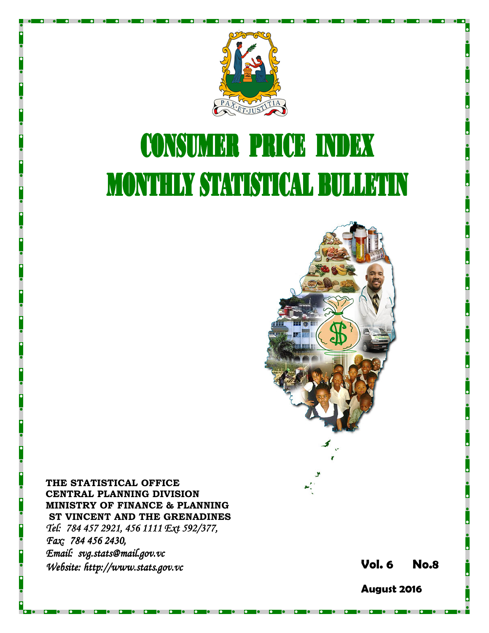

# **CONSUMER PRICE INDEX MONTHLY STATISTICAL BULLETIN**



THE STATISTICAL OFFICE CENTRAL PLANNING DIVISION MINISTRY OF FINANCE & PLANNING ST VINCENT AND THE GRENADINES Tel: 784 457 2921, 456 1111 Ext 592/377, Fax: 784 456 2430, Email: svg.stats@mail.gov.vc Website: http://www.stats.gov.vc **Stats.gov.vc** Stats.gov.vc Stats.gov.vc Vol. 6 No.8

August 2016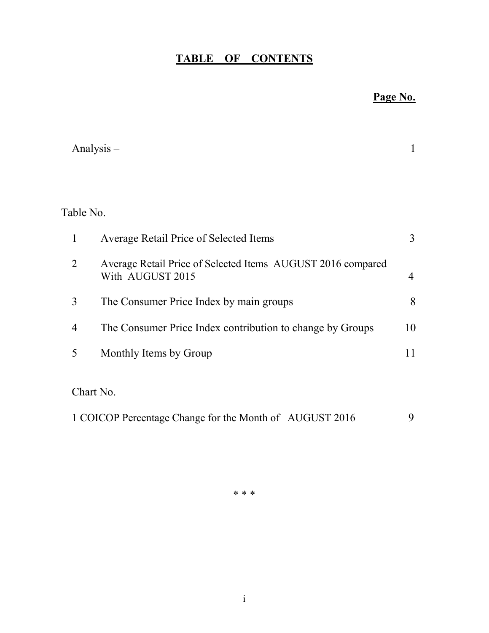## TABLE OF CONTENTS

## Page No.

|                | Analysis $-$                                                                    | 1              |
|----------------|---------------------------------------------------------------------------------|----------------|
|                |                                                                                 |                |
| Table No.      |                                                                                 |                |
| 1              | Average Retail Price of Selected Items                                          | 3              |
| $\overline{2}$ | Average Retail Price of Selected Items AUGUST 2016 compared<br>With AUGUST 2015 | $\overline{4}$ |
| 3              | The Consumer Price Index by main groups                                         | 8              |
| 4              | The Consumer Price Index contribution to change by Groups                       | 10             |
| 5              | Monthly Items by Group                                                          | 11             |
| Chart No.      |                                                                                 |                |
|                | 1 COICOP Percentage Change for the Month of AUGUST 2016                         | 9              |

\* \* \*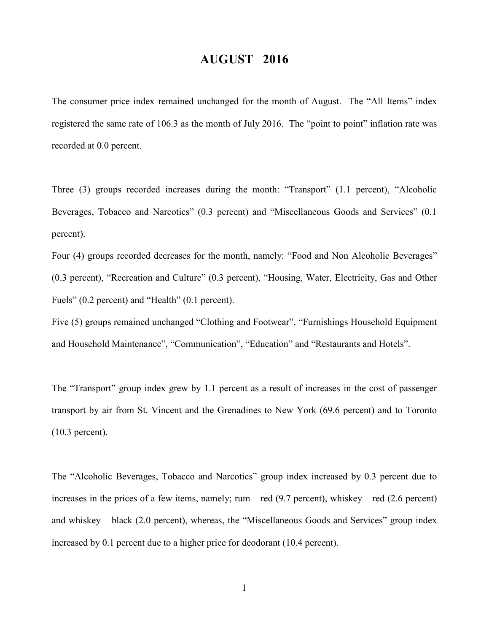### AUGUST 2016

The consumer price index remained unchanged for the month of August. The "All Items" index registered the same rate of 106.3 as the month of July 2016. The "point to point" inflation rate was recorded at 0.0 percent.

Three (3) groups recorded increases during the month: "Transport" (1.1 percent), "Alcoholic Beverages, Tobacco and Narcotics" (0.3 percent) and "Miscellaneous Goods and Services" (0.1 percent).

Four (4) groups recorded decreases for the month, namely: "Food and Non Alcoholic Beverages" (0.3 percent), "Recreation and Culture" (0.3 percent), "Housing, Water, Electricity, Gas and Other Fuels" (0.2 percent) and "Health" (0.1 percent).

Five (5) groups remained unchanged "Clothing and Footwear", "Furnishings Household Equipment and Household Maintenance", "Communication", "Education" and "Restaurants and Hotels".

The "Transport" group index grew by 1.1 percent as a result of increases in the cost of passenger transport by air from St. Vincent and the Grenadines to New York (69.6 percent) and to Toronto (10.3 percent).

The "Alcoholic Beverages, Tobacco and Narcotics" group index increased by 0.3 percent due to increases in the prices of a few items, namely; rum – red (9.7 percent), whiskey – red (2.6 percent) and whiskey – black (2.0 percent), whereas, the "Miscellaneous Goods and Services" group index increased by 0.1 percent due to a higher price for deodorant (10.4 percent).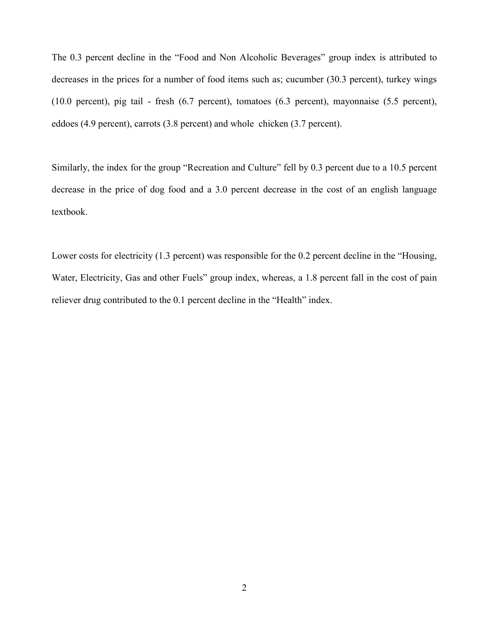The 0.3 percent decline in the "Food and Non Alcoholic Beverages" group index is attributed to decreases in the prices for a number of food items such as; cucumber (30.3 percent), turkey wings (10.0 percent), pig tail - fresh (6.7 percent), tomatoes (6.3 percent), mayonnaise (5.5 percent), eddoes (4.9 percent), carrots (3.8 percent) and whole chicken (3.7 percent).

Similarly, the index for the group "Recreation and Culture" fell by 0.3 percent due to a 10.5 percent decrease in the price of dog food and a 3.0 percent decrease in the cost of an english language textbook.

Lower costs for electricity (1.3 percent) was responsible for the 0.2 percent decline in the "Housing, Water, Electricity, Gas and other Fuels" group index, whereas, a 1.8 percent fall in the cost of pain reliever drug contributed to the 0.1 percent decline in the "Health" index.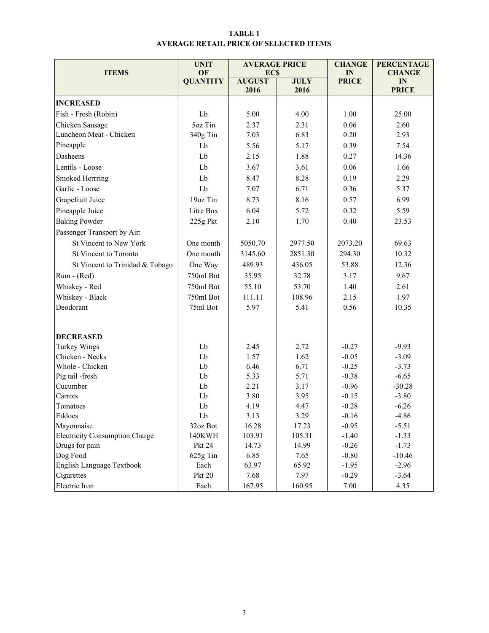#### TABLE 1 AVERAGE RETAIL PRICE OF SELECTED ITEMS

|                                       | <b>UNIT</b>     | <b>AVERAGE PRICE</b>        |              | <b>CHANGE</b>      | <b>PERCENTAGE</b>  |
|---------------------------------------|-----------------|-----------------------------|--------------|--------------------|--------------------|
| <b>ITEMS</b>                          | OF              | <b>ECS</b><br><b>AUGUST</b> | <b>JULY</b>  | IN                 | <b>CHANGE</b>      |
|                                       | <b>QUANTITY</b> | 2016                        | 2016         | <b>PRICE</b>       | IN<br><b>PRICE</b> |
| <b>INCREASED</b>                      |                 |                             |              |                    |                    |
| Fish - Fresh (Robin)                  | Lb              | 5.00                        | 4.00         | 1.00               | 25.00              |
| Chicken Sausage                       | 5oz Tin         | 2.37                        | 2.31         | 0.06               | 2.60               |
| Luncheon Meat - Chicken               | 340g Tin        | 7.03                        | 6.83         | 0.20               | 2.93               |
| Pineapple                             | Lb              | 5.56                        | 5.17         | 0.39               | 7.54               |
| Dasheens                              | Lb              | 2.15                        | 1.88         | 0.27               | 14.36              |
| Lentils - Loose                       | Lb              | 3.67                        | 3.61         | 0.06               | 1.66               |
| Smoked Herrring                       | Lb              | 8.47                        | 8.28         | 0.19               | 2.29               |
| Garlic - Loose                        | Lb              | 7.07                        | 6.71         | 0.36               | 5.37               |
| Grapefruit Juice                      | 19oz Tin        | 8.73                        | 8.16         | 0.57               | 6.99               |
| Pineapple Juice                       | Litre Box       | 6.04                        | 5.72         | 0.32               | 5.59               |
| <b>Baking Powder</b>                  | 225g Pkt        | 2.10                        | 1.70         | 0.40               | 23.53              |
| Passenger Transport by Air:           |                 |                             |              |                    |                    |
| St Vincent to New York                | One month       | 5050.70                     | 2977.50      | 2073.20            | 69.63              |
| St Vincent to Toronto                 | One month       | 3145.60                     | 2851.30      | 294.30             | 10.32              |
| St Vincent to Trinidad & Tobago       | One Way         | 489.93<br>436.05            |              | 53.88              | 12.36              |
| Rum - (Red)                           | 750ml Bot       | 35.95                       | 32.78        | 3.17               | 9.67               |
| Whiskey - Red                         | 750ml Bot       | 55.10                       | 53.70        | 1.40               | 2.61               |
| Whiskey - Black                       | 750ml Bot       | 111.11                      | 108.96       | 2.15               | 1.97               |
| Deodorant                             | 75ml Bot        | 5.97                        | 5.41         | 0.56               | 10.35              |
|                                       |                 |                             |              |                    |                    |
|                                       |                 |                             |              |                    |                    |
| <b>DECREASED</b>                      |                 |                             |              |                    |                    |
| <b>Turkey Wings</b>                   | Lb              | 2.45                        | 2.72         | $-0.27$            | $-9.93$            |
| Chicken - Necks<br>Whole - Chicken    | Lb<br>Lb        | 1.57<br>6.46                | 1.62<br>6.71 | $-0.05$<br>$-0.25$ | $-3.09$            |
| Pig tail -fresh                       | Lb              | 5.33                        | 5.71         | $-0.38$            | $-3.73$<br>$-6.65$ |
| Cucumber                              | Lb              | 2.21                        | 3.17         | $-0.96$            | $-30.28$           |
| Carrots                               | Lb              | 3.80                        | 3.95         | $-0.15$            | $-3.80$            |
| Tomatoes                              | Lb              | 4.19                        | 4.47         | $-0.28$            | $-6.26$            |
| Eddoes                                | Lb              | 3.13                        | 3.29         | $-0.16$            | $-4.86$            |
| Mayonnaise                            | 32oz Bot        | 16.28                       | 17.23        | $-0.95$            | $-5.51$            |
| <b>Electricity Consumption Charge</b> | 140KWH          | 103.91                      | 105.31       | $-1.40$            | $-1.33$            |
| Drugs for pain                        | <b>Pkt 24</b>   | 14.73                       | 14.99        | $-0.26$            | $-1.73$            |
| Dog Food                              | $625g$ Tin      | 6.85                        | 7.65         | $-0.80$            | $-10.46$           |
| <b>English Language Textbook</b>      | Each            | 63.97                       | 65.92        | $-1.95$            | $-2.96$            |
| Cigarettes                            | <b>Pkt 20</b>   | 7.68                        | 7.97         | $-0.29$            | $-3.64$            |
| Electric Iron                         | Each            | 167.95                      | 160.95       | 7.00               | 4.35               |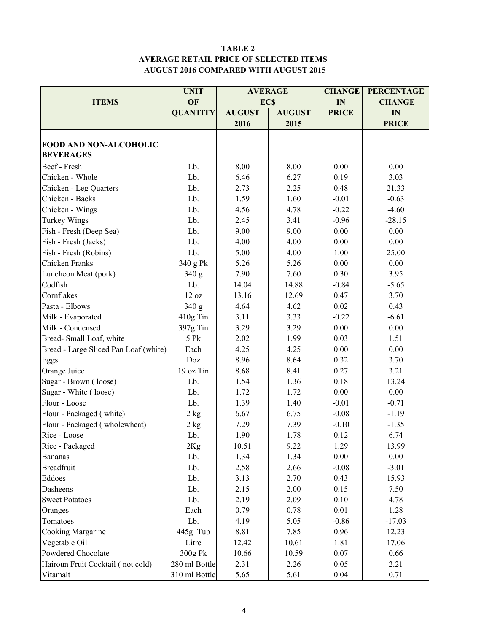#### TABLE 2 AVERAGE RETAIL PRICE OF SELECTED ITEMS AUGUST 2016 COMPARED WITH AUGUST 2015

|                                       | <b>UNIT</b>     |               | <b>AVERAGE</b> | <b>CHANGE</b> | <b>PERCENTAGE</b> |
|---------------------------------------|-----------------|---------------|----------------|---------------|-------------------|
| <b>ITEMS</b>                          | OF              |               | <b>ECS</b>     | IN            | <b>CHANGE</b>     |
|                                       | <b>QUANTITY</b> | <b>AUGUST</b> | <b>AUGUST</b>  | <b>PRICE</b>  | IN                |
|                                       |                 | 2016          | 2015           |               | <b>PRICE</b>      |
|                                       |                 |               |                |               |                   |
| <b>FOOD AND NON-ALCOHOLIC</b>         |                 |               |                |               |                   |
| <b>BEVERAGES</b>                      |                 |               |                |               |                   |
| Beef - Fresh                          | Lb.             | 8.00          | 8.00           | 0.00          | 0.00              |
| Chicken - Whole                       | Lb.             | 6.46          | 6.27           | 0.19          | 3.03              |
| Chicken - Leg Quarters                | Lb.             | 2.73          | 2.25           | 0.48          | 21.33             |
| Chicken - Backs                       | Lb.             | 1.59          | 1.60           | $-0.01$       | $-0.63$           |
| Chicken - Wings                       | Lb.             | 4.56          | 4.78           | $-0.22$       | $-4.60$           |
| Turkey Wings                          | Lb.             | 2.45          | 3.41           | $-0.96$       | $-28.15$          |
| Fish - Fresh (Deep Sea)               | Lb.             | 9.00          | 9.00           | 0.00          | 0.00              |
| Fish - Fresh (Jacks)                  | Lb.             | 4.00          | 4.00           | 0.00          | 0.00              |
| Fish - Fresh (Robins)                 | Lb.             | 5.00          | 4.00           | 1.00          | 25.00             |
| Chicken Franks                        | 340 g Pk        | 5.26          | 5.26           | 0.00          | 0.00              |
| Luncheon Meat (pork)                  | 340 g           | 7.90          | 7.60           | 0.30          | 3.95              |
| Codfish                               | Lb.             | 14.04         | 14.88          | $-0.84$       | $-5.65$           |
| Cornflakes                            | 12 oz           | 13.16         | 12.69          | 0.47          | 3.70              |
| Pasta - Elbows                        | 340 g           | 4.64          | 4.62           | 0.02          | 0.43              |
| Milk - Evaporated                     | 410g Tin        | 3.11          | 3.33           | $-0.22$       | $-6.61$           |
| Milk - Condensed                      | 397g Tin        | 3.29          | 3.29           | 0.00          | 0.00              |
| Bread-Small Loaf, white               | 5 Pk            | 2.02          | 1.99           | 0.03          | 1.51              |
| Bread - Large Sliced Pan Loaf (white) | Each            | 4.25          | 4.25           | 0.00          | 0.00              |
| Eggs                                  | Doz             | 8.96          | 8.64           | 0.32          | 3.70              |
| Orange Juice                          | 19 oz Tin       | 8.68          | 8.41           | 0.27          | 3.21              |
| Sugar - Brown (loose)                 | Lb.             | 1.54          | 1.36           | 0.18          | 13.24             |
| Sugar - White (loose)                 | Lb.             | 1.72          | 1.72           | 0.00          | 0.00              |
| Flour - Loose                         | Lb.             | 1.39          | 1.40           | $-0.01$       | $-0.71$           |
| Flour - Packaged (white)              | $2$ kg          | 6.67          | 6.75           | $-0.08$       | $-1.19$           |
| Flour - Packaged (wholewheat)         | 2 kg            | 7.29          | 7.39           | $-0.10$       | $-1.35$           |
| Rice - Loose                          | Lb.             | 1.90          | 1.78           | 0.12          | 6.74              |
| Rice - Packaged                       | 2Kg             | $10.51\,$     | 9.22           | 1.29          | 13.99             |
| <b>Bananas</b>                        | Lb.             | 1.34          | 1.34           | 0.00          | 0.00              |
| <b>Breadfruit</b>                     | Lb.             | 2.58          | 2.66           | $-0.08$       | $-3.01$           |
| Eddoes                                | Lb.             | 3.13          | 2.70           | 0.43          | 15.93             |
| Dasheens                              | Lb.             | 2.15          | 2.00           | 0.15          | 7.50              |
| <b>Sweet Potatoes</b>                 | Lb.             | 2.19          | 2.09           | 0.10          | 4.78              |
| Oranges                               | Each            | 0.79          | 0.78           | 0.01          | 1.28              |
| Tomatoes                              | Lb.             | 4.19          | 5.05           | $-0.86$       | $-17.03$          |
| Cooking Margarine                     | 445g Tub        | 8.81          | 7.85           | 0.96          | 12.23             |
| Vegetable Oil                         | Litre           | 12.42         | 10.61          | 1.81          | 17.06             |
| Powdered Chocolate                    | 300g Pk         | 10.66         | 10.59          | 0.07          | 0.66              |
| Hairoun Fruit Cocktail (not cold)     | 280 ml Bottle   | 2.31          | 2.26           | 0.05          | 2.21              |
| Vitamalt                              | 310 ml Bottle   | 5.65          | 5.61           | 0.04          | 0.71              |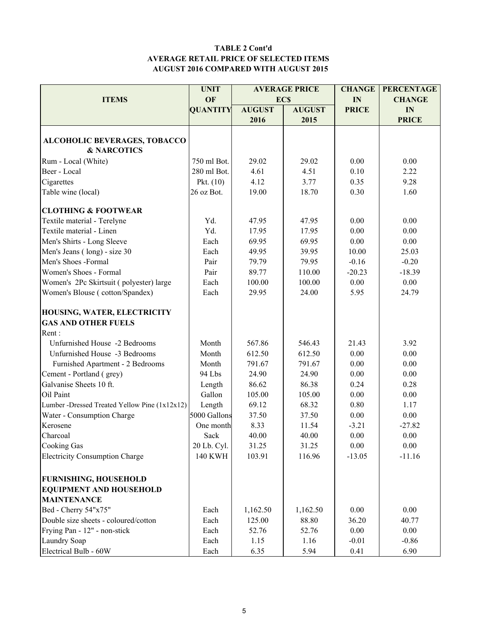#### TABLE 2 Cont'd AVERAGE RETAIL PRICE OF SELECTED ITEMS AUGUST 2016 COMPARED WITH AUGUST 2015

| <b>UNIT</b><br><b>PERCENTAGE</b><br><b>AVERAGE PRICE</b><br><b>CHANGE</b><br>OF<br><b>ITEMS</b><br><b>ECS</b><br>IN<br><b>CHANGE</b><br><b>QUANTITY</b><br><b>AUGUST</b><br><b>AUGUST</b><br><b>PRICE</b> |  |
|-----------------------------------------------------------------------------------------------------------------------------------------------------------------------------------------------------------|--|
|                                                                                                                                                                                                           |  |
| IN                                                                                                                                                                                                        |  |
| 2016<br>2015<br><b>PRICE</b>                                                                                                                                                                              |  |
|                                                                                                                                                                                                           |  |
| <b>ALCOHOLIC BEVERAGES, TOBACCO</b>                                                                                                                                                                       |  |
| <b>&amp; NARCOTICS</b>                                                                                                                                                                                    |  |
| 750 ml Bot.<br>0.00<br>Rum - Local (White)<br>29.02<br>29.02<br>0.00                                                                                                                                      |  |
| 4.51<br>Beer - Local<br>280 ml Bot.<br>4.61<br>0.10<br>2.22                                                                                                                                               |  |
| 4.12<br>9.28<br>Cigarettes<br>Pkt. $(10)$<br>3.77<br>0.35                                                                                                                                                 |  |
| 26 oz Bot.<br>19.00<br>18.70<br>0.30<br>Table wine (local)<br>1.60                                                                                                                                        |  |
| <b>CLOTHING &amp; FOOTWEAR</b>                                                                                                                                                                            |  |
| Yd.<br>0.00<br>0.00<br>Textile material - Terelyne<br>47.95<br>47.95                                                                                                                                      |  |
| Textile material - Linen<br>Yd.<br>0.00<br>17.95<br>17.95<br>0.00                                                                                                                                         |  |
| Men's Shirts - Long Sleeve<br>0.00<br>Each<br>69.95<br>69.95<br>0.00                                                                                                                                      |  |
| 49.95<br>39.95<br>Men's Jeans (long) - size 30<br>Each<br>10.00<br>25.03                                                                                                                                  |  |
| Men's Shoes -Formal<br>Pair<br>79.79<br>79.95<br>$-0.16$<br>$-0.20$                                                                                                                                       |  |
| Women's Shoes - Formal<br>Pair<br>89.77<br>110.00<br>$-20.23$<br>$-18.39$                                                                                                                                 |  |
| 100.00<br>100.00<br>0.00<br>0.00<br>Women's 2Pc Skirtsuit (polyester) large<br>Each                                                                                                                       |  |
| Each<br>29.95<br>24.00<br>Women's Blouse (cotton/Spandex)<br>5.95<br>24.79                                                                                                                                |  |
|                                                                                                                                                                                                           |  |
| HOUSING, WATER, ELECTRICITY                                                                                                                                                                               |  |
| <b>GAS AND OTHER FUELS</b>                                                                                                                                                                                |  |
| Rent:                                                                                                                                                                                                     |  |
| Unfurnished House -2 Bedrooms<br>567.86<br>3.92<br>Month<br>546.43<br>21.43                                                                                                                               |  |
| Unfurnished House -3 Bedrooms<br>612.50<br>0.00<br>0.00<br>Month<br>612.50                                                                                                                                |  |
| 791.67<br>791.67<br>0.00<br>Furnished Apartment - 2 Bedrooms<br>0.00<br>Month                                                                                                                             |  |
| 24.90<br>24.90<br>Cement - Portland (grey)<br>94 Lbs<br>0.00<br>0.00                                                                                                                                      |  |
| Galvanise Sheets 10 ft.<br>86.38<br>86.62<br>0.24<br>0.28<br>Length                                                                                                                                       |  |
| Oil Paint<br>Gallon<br>105.00<br>105.00<br>0.00<br>0.00                                                                                                                                                   |  |
| Length<br>69.12<br>0.80<br>Lumber -Dressed Treated Yellow Pine (1x12x12)<br>68.32<br>1.17                                                                                                                 |  |
| 5000 Gallons<br>37.50<br>37.50<br>0.00<br>Water - Consumption Charge<br>0.00                                                                                                                              |  |
| 8.33<br>Kerosene<br>One month<br>11.54<br>$-3.21$<br>$-27.82$                                                                                                                                             |  |
| 0.00<br>0.00<br>Charcoal<br>Sack<br>40.00<br>40.00                                                                                                                                                        |  |
| <b>Cooking Gas</b><br>20 Lb. Cyl.<br>31.25<br>31.25<br>0.00<br>0.00                                                                                                                                       |  |
| <b>Electricity Consumption Charge</b><br><b>140 KWH</b><br>103.91<br>116.96<br>$-11.16$<br>$-13.05$                                                                                                       |  |
|                                                                                                                                                                                                           |  |
| <b>FURNISHING, HOUSEHOLD</b>                                                                                                                                                                              |  |
| <b>EQUIPMENT AND HOUSEHOLD</b>                                                                                                                                                                            |  |
| <b>MAINTENANCE</b>                                                                                                                                                                                        |  |
| Bed - Cherry 54"x75"<br>Each<br>1,162.50<br>1,162.50<br>0.00<br>0.00                                                                                                                                      |  |
| Double size sheets - coloured/cotton<br>Each<br>125.00<br>88.80<br>36.20<br>40.77                                                                                                                         |  |
| Frying Pan - 12" - non-stick<br>52.76<br>52.76<br>0.00<br>0.00<br>Each                                                                                                                                    |  |
| Laundry Soap<br>Each<br>1.15<br>1.16<br>$-0.01$<br>$-0.86$                                                                                                                                                |  |
| Electrical Bulb - 60W<br>5.94<br>6.90<br>Each<br>6.35<br>0.41                                                                                                                                             |  |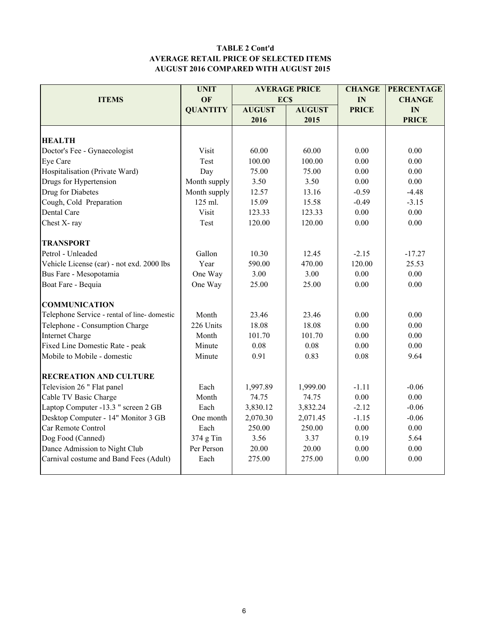#### TABLE 2 Cont'd AVERAGE RETAIL PRICE OF SELECTED ITEMS AUGUST 2016 COMPARED WITH AUGUST 2015

|                                             | <b>UNIT</b>     |               | <b>AVERAGE PRICE</b> | <b>CHANGE</b> | <b>PERCENTAGE</b> |
|---------------------------------------------|-----------------|---------------|----------------------|---------------|-------------------|
| <b>ITEMS</b>                                | OF              | <b>ECS</b>    |                      | IN            | <b>CHANGE</b>     |
|                                             | <b>QUANTITY</b> | <b>AUGUST</b> | <b>AUGUST</b>        | <b>PRICE</b>  | IN                |
|                                             |                 | 2016          | 2015                 |               | <b>PRICE</b>      |
|                                             |                 |               |                      |               |                   |
| <b>HEALTH</b>                               |                 |               |                      |               |                   |
| Doctor's Fee - Gynaecologist                | Visit           | 60.00         | 60.00                | 0.00          | 0.00              |
| Eye Care                                    | Test            | 100.00        | 100.00               | 0.00          | 0.00              |
| Hospitalisation (Private Ward)              | Day             | 75.00         | 75.00                | 0.00          | 0.00              |
| Drugs for Hypertension                      | Month supply    | 3.50          | 3.50                 | 0.00          | 0.00              |
| Drug for Diabetes                           | Month supply    | 12.57         | 13.16                | $-0.59$       | $-4.48$           |
| Cough, Cold Preparation                     | 125 ml.         | 15.09         | 15.58                | $-0.49$       | $-3.15$           |
| Dental Care                                 | Visit           | 123.33        | 123.33               | 0.00          | 0.00              |
| Chest X-ray                                 | Test            | 120.00        | 120.00               | 0.00          | 0.00              |
| <b>TRANSPORT</b>                            |                 |               |                      |               |                   |
| Petrol - Unleaded                           | Gallon          | 10.30         | 12.45                | $-2.15$       | $-17.27$          |
| Vehicle License (car) - not exd. 2000 lbs   | Year            | 590.00        | 470.00               | 120.00        | 25.53             |
| Bus Fare - Mesopotamia                      | One Way         | 3.00          | 3.00                 | 0.00          | 0.00              |
| Boat Fare - Bequia                          | One Way         | 25.00         | 25.00                | 0.00          | 0.00              |
| <b>COMMUNICATION</b>                        |                 |               |                      |               |                   |
| Telephone Service - rental of line-domestic | Month           | 23.46         | 23.46                | 0.00          | 0.00              |
| Telephone - Consumption Charge              | 226 Units       | 18.08         | 18.08                | 0.00          | 0.00              |
| <b>Internet Charge</b>                      | Month           | 101.70        | 101.70               | 0.00          | 0.00              |
| Fixed Line Domestic Rate - peak             | Minute          | 0.08          | 0.08                 | 0.00          | 0.00              |
| Mobile to Mobile - domestic                 | Minute          | 0.91          | 0.83                 | 0.08          | 9.64              |
|                                             |                 |               |                      |               |                   |
| <b>RECREATION AND CULTURE</b>               |                 |               |                      |               |                   |
| Television 26 " Flat panel                  | Each            | 1,997.89      | 1,999.00             | $-1.11$       | $-0.06$           |
| Cable TV Basic Charge                       | Month           | 74.75         | 74.75                | $0.00\,$      | $0.00\,$          |
| Laptop Computer -13.3 " screen 2 GB         | Each            | 3,830.12      | 3,832.24             | $-2.12$       | $-0.06$           |
| Desktop Computer - 14" Monitor 3 GB         | One month       | 2,070.30      | 2,071.45             | $-1.15$       | $-0.06$           |
| Car Remote Control                          | Each            | 250.00        | 250.00               | 0.00          | 0.00              |
| Dog Food (Canned)                           | 374 g Tin       | 3.56          | 3.37                 | 0.19          | 5.64              |
| Dance Admission to Night Club               | Per Person      | 20.00         | 20.00                | 0.00          | 0.00              |
| Carnival costume and Band Fees (Adult)      | Each            | 275.00        | 275.00               | 0.00          | 0.00              |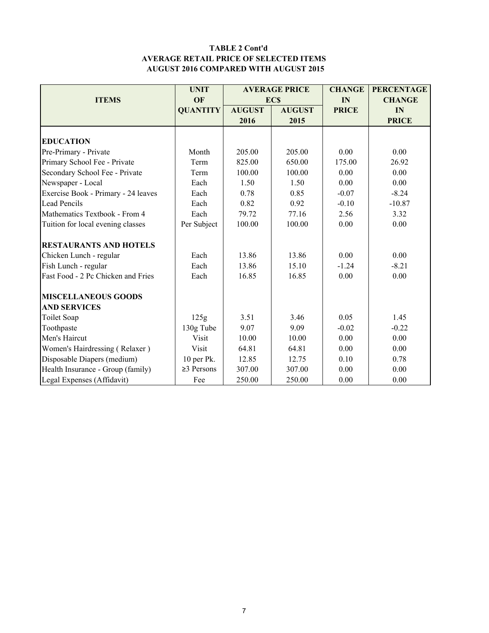#### TABLE 2 Cont'd AVERAGE RETAIL PRICE OF SELECTED ITEMS AUGUST 2016 COMPARED WITH AUGUST 2015

|                                     | <b>UNIT</b>      |               | <b>AVERAGE PRICE</b> | <b>CHANGE</b> | <b>PERCENTAGE</b> |
|-------------------------------------|------------------|---------------|----------------------|---------------|-------------------|
| <b>ITEMS</b>                        | OF               |               | <b>ECS</b>           | IN            | <b>CHANGE</b>     |
|                                     | <b>QUANTITY</b>  | <b>AUGUST</b> | <b>AUGUST</b>        | <b>PRICE</b>  | IN                |
|                                     |                  | 2016          | 2015                 |               | <b>PRICE</b>      |
|                                     |                  |               |                      |               |                   |
| <b>EDUCATION</b>                    |                  |               |                      |               |                   |
| Pre-Primary - Private               | Month            | 205.00        | 205.00               | 0.00          | 0.00              |
| Primary School Fee - Private        | Term             | 825.00        | 650.00               | 175.00        | 26.92             |
| Secondary School Fee - Private      | Term             | 100.00        | 100.00               | 0.00          | 0.00              |
| Newspaper - Local                   | Each             | 1.50          | 1.50                 | 0.00          | 0.00              |
| Exercise Book - Primary - 24 leaves | Each             | 0.78          | 0.85                 | $-0.07$       | $-8.24$           |
| <b>Lead Pencils</b>                 | Each             | 0.82          | 0.92                 | $-0.10$       | $-10.87$          |
| Mathematics Textbook - From 4       | Each             | 79.72         | 77.16                | 2.56          | 3.32              |
| Tuition for local evening classes   | Per Subject      | 100.00        | 100.00               | 0.00          | 0.00              |
| <b>RESTAURANTS AND HOTELS</b>       |                  |               |                      |               |                   |
| Chicken Lunch - regular             | Each             | 13.86         | 13.86                | 0.00          | 0.00              |
| Fish Lunch - regular                | Each             | 13.86         | 15.10                | $-1.24$       | $-8.21$           |
| Fast Food - 2 Pc Chicken and Fries  | Each             | 16.85         | 16.85                | 0.00          | 0.00              |
| <b>MISCELLANEOUS GOODS</b>          |                  |               |                      |               |                   |
| <b>AND SERVICES</b>                 |                  |               |                      |               |                   |
| Toilet Soap                         | 125g             | 3.51          | 3.46                 | 0.05          | 1.45              |
| Toothpaste                          | 130g Tube        | 9.07          | 9.09                 | $-0.02$       | $-0.22$           |
| Men's Haircut                       | Visit            | 10.00         | 10.00                | 0.00          | 0.00              |
| Women's Hairdressing (Relaxer)      | Visit            | 64.81         | 64.81                | 0.00          | 0.00              |
| Disposable Diapers (medium)         | 10 per Pk.       | 12.85         | 12.75                | 0.10          | 0.78              |
| Health Insurance - Group (family)   | $\geq$ 3 Persons | 307.00        | 307.00               | 0.00          | 0.00              |
| Legal Expenses (Affidavit)          | Fee              | 250.00        | 250.00               | 0.00          | 0.00              |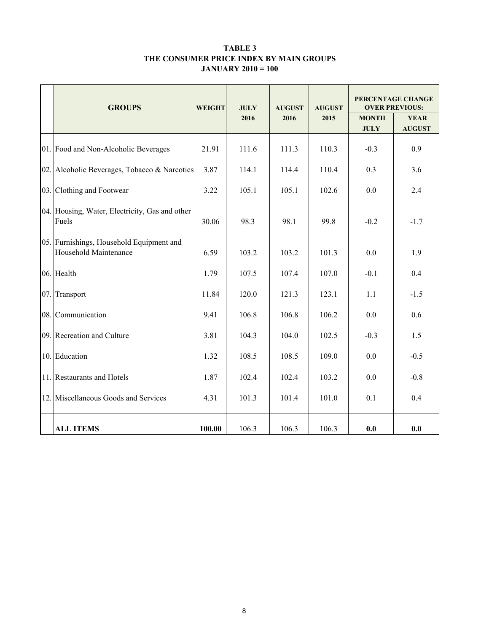#### TABLE 3 THE CONSUMER PRICE INDEX BY MAIN GROUPS JANUARY 2010 = 100

|     | <b>GROUPS</b>                                                     | <b>WEIGHT</b> | <b>JULY</b> | <b>AUGUST</b> | <b>AUGUST</b> | PERCENTAGE CHANGE<br><b>OVER PREVIOUS:</b> |                              |  |
|-----|-------------------------------------------------------------------|---------------|-------------|---------------|---------------|--------------------------------------------|------------------------------|--|
|     |                                                                   |               | 2016        | 2016          | 2015          | <b>MONTH</b><br><b>JULY</b>                | <b>YEAR</b><br><b>AUGUST</b> |  |
|     | 01. Food and Non-Alcoholic Beverages                              | 21.91         | 111.6       | 111.3         | 110.3         | $-0.3$                                     | 0.9                          |  |
|     | 02. Alcoholic Beverages, Tobacco & Narcotics                      | 3.87          | 114.1       | 114.4         | 110.4         | 0.3                                        | 3.6                          |  |
|     | 03. Clothing and Footwear                                         | 3.22          | 105.1       | 105.1         | 102.6         | 0.0                                        | 2.4                          |  |
|     | 04. Housing, Water, Electricity, Gas and other<br>Fuels           | 30.06         | 98.3        | 98.1          | 99.8          | $-0.2$                                     | $-1.7$                       |  |
|     | 05. Furnishings, Household Equipment and<br>Household Maintenance | 6.59          | 103.2       | 103.2         | 101.3         | 0.0                                        | 1.9                          |  |
|     | 06. Health                                                        | 1.79          | 107.5       | 107.4         | 107.0         | $-0.1$                                     | 0.4                          |  |
| 07. | Transport                                                         | 11.84         | 120.0       | 121.3         | 123.1         | 1.1                                        | $-1.5$                       |  |
|     | 08. Communication                                                 | 9.41          | 106.8       | 106.8         | 106.2         | 0.0                                        | 0.6                          |  |
|     | 09. Recreation and Culture                                        | 3.81          | 104.3       | 104.0         | 102.5         | $-0.3$                                     | 1.5                          |  |
|     | 10. Education                                                     | 1.32          | 108.5       | 108.5         | 109.0         | 0.0                                        | $-0.5$                       |  |
|     | 11. Restaurants and Hotels                                        | 1.87          | 102.4       | 102.4         | 103.2         | 0.0                                        | $-0.8$                       |  |
|     | 12. Miscellaneous Goods and Services                              | 4.31          | 101.3       | 101.4         | 101.0         | 0.1                                        | 0.4                          |  |
|     | <b>ALL ITEMS</b>                                                  | 100.00        | 106.3       | 106.3         | 106.3         | 0.0                                        | 0.0                          |  |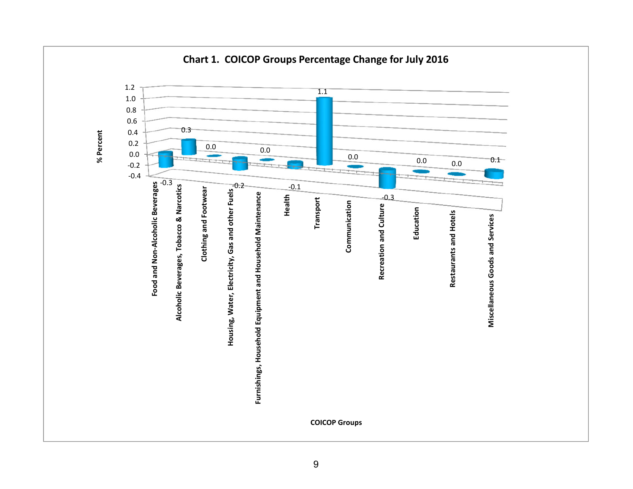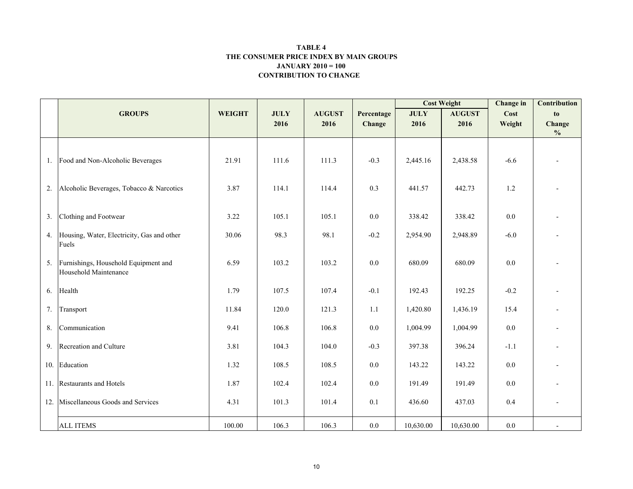#### CONTRIBUTION TO CHANGE TABLE 4 THE CONSUMER PRICE INDEX BY MAIN GROUPSJANUARY 2010 = 100

|     |                                                               |               |             |               |            | <b>Cost Weight</b> |               | <b>Change</b> in | Contribution            |
|-----|---------------------------------------------------------------|---------------|-------------|---------------|------------|--------------------|---------------|------------------|-------------------------|
|     | <b>GROUPS</b>                                                 | <b>WEIGHT</b> | <b>JULY</b> | <b>AUGUST</b> | Percentage | <b>JULY</b>        | <b>AUGUST</b> | Cost             | to                      |
|     |                                                               |               | 2016        | 2016          | Change     | 2016               | 2016          | Weight           | Change<br>$\frac{0}{0}$ |
|     |                                                               |               |             |               |            |                    |               |                  |                         |
|     | 1. Food and Non-Alcoholic Beverages                           | 21.91         | 111.6       | 111.3         | $-0.3$     | 2,445.16           | 2,438.58      | $-6.6$           |                         |
| 2.  | Alcoholic Beverages, Tobacco & Narcotics                      | 3.87          | 114.1       | 114.4         | 0.3        | 441.57             | 442.73        | 1.2              |                         |
| 3.  | Clothing and Footwear                                         | 3.22          | 105.1       | 105.1         | 0.0        | 338.42             | 338.42        | 0.0              |                         |
| 4.  | Housing, Water, Electricity, Gas and other<br>Fuels           | 30.06         | 98.3        | 98.1          | $-0.2$     | 2,954.90           | 2,948.89      | $-6.0$           |                         |
| 5.  | Furnishings, Household Equipment and<br>Household Maintenance | 6.59          | 103.2       | 103.2         | $0.0\,$    | 680.09             | 680.09        | 0.0              |                         |
| 6.  | Health                                                        | 1.79          | 107.5       | 107.4         | $-0.1$     | 192.43             | 192.25        | $-0.2$           |                         |
| 7.  | Transport                                                     | 11.84         | 120.0       | 121.3         | 1.1        | 1,420.80           | 1,436.19      | 15.4             |                         |
| 8.  | Communication                                                 | 9.41          | 106.8       | 106.8         | 0.0        | 1,004.99           | 1,004.99      | 0.0              | $\overline{a}$          |
| 9.  | Recreation and Culture                                        | 3.81          | 104.3       | 104.0         | $-0.3$     | 397.38             | 396.24        | $-1.1$           |                         |
|     | 10. Education                                                 | 1.32          | 108.5       | 108.5         | $0.0\,$    | 143.22             | 143.22        | $0.0\,$          |                         |
|     | 11. Restaurants and Hotels                                    | 1.87          | 102.4       | 102.4         | $0.0\,$    | 191.49             | 191.49        | 0.0              |                         |
| 12. | Miscellaneous Goods and Services                              | 4.31          | 101.3       | 101.4         | 0.1        | 436.60             | 437.03        | 0.4              |                         |
|     | <b>ALL ITEMS</b>                                              | 100.00        | 106.3       | 106.3         | $0.0\,$    | 10,630.00          | 10,630.00     | $0.0\,$          |                         |